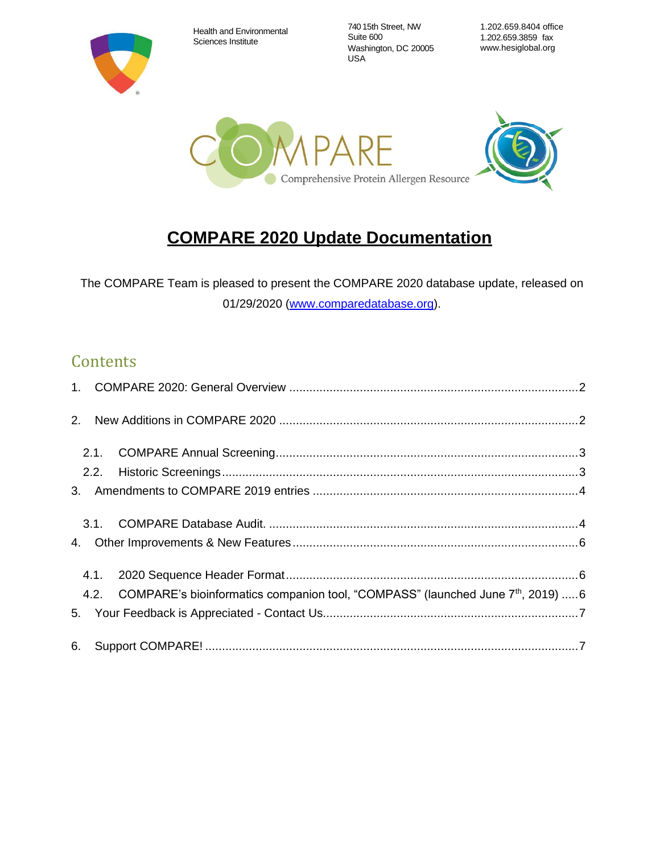Health and Environmental Sciences Institute

740 15th Street, NW Suite 600 Washington, DC 20005 USA

1.202.659.8404 office 1.202.659.3859 fax [www.hesiglobal.org](http://www.hesiglobal.org/)



# **COMPARE 2020 Update Documentation**

The COMPARE Team is pleased to present the COMPARE 2020 database update, released on 01/29/2020 [\(www.comparedatabase.org\)](http://www.comparedatabase.org/).

# **Contents**

| 2. |      |                                                                                                  |  |
|----|------|--------------------------------------------------------------------------------------------------|--|
|    |      |                                                                                                  |  |
|    |      |                                                                                                  |  |
|    |      |                                                                                                  |  |
|    |      |                                                                                                  |  |
| 4. |      |                                                                                                  |  |
|    | 4.1. |                                                                                                  |  |
|    |      | 4.2. COMPARE's bioinformatics companion tool, "COMPASS" (launched June 7 <sup>th</sup> , 2019) 6 |  |
|    |      |                                                                                                  |  |
|    |      |                                                                                                  |  |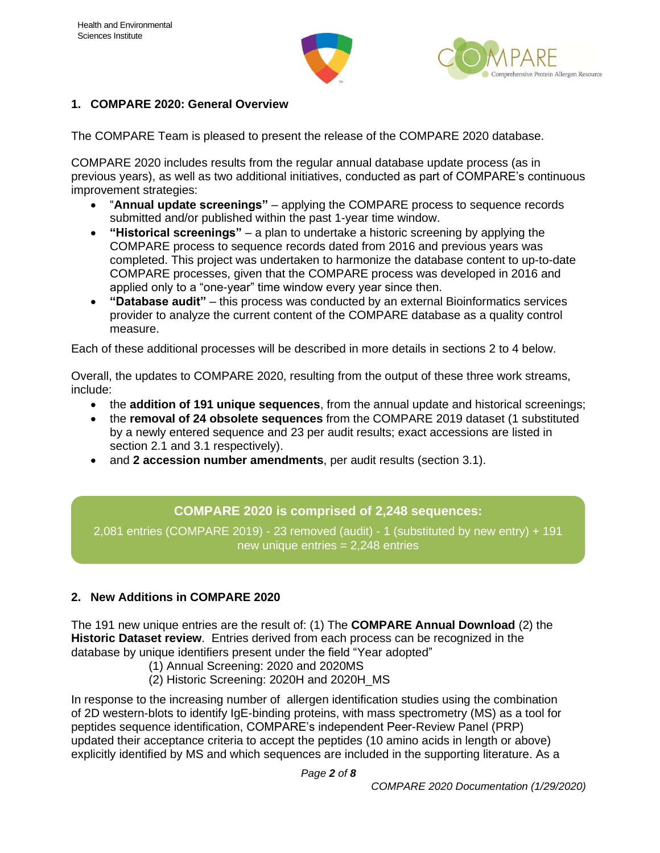



#### <span id="page-1-0"></span>**1. COMPARE 2020: General Overview**

The COMPARE Team is pleased to present the release of the COMPARE 2020 database.

COMPARE 2020 includes results from the regular annual database update process (as in previous years), as well as two additional initiatives, conducted as part of COMPARE's continuous improvement strategies:

- "**Annual update screenings"**  applying the COMPARE process to sequence records submitted and/or published within the past 1-year time window.
- **"Historical screenings"** a plan to undertake a historic screening by applying the COMPARE process to sequence records dated from 2016 and previous years was completed. This project was undertaken to harmonize the database content to up-to-date COMPARE processes, given that the COMPARE process was developed in 2016 and applied only to a "one-year" time window every year since then.
- **"Database audit"** this process was conducted by an external Bioinformatics services provider to analyze the current content of the COMPARE database as a quality control measure.

Each of these additional processes will be described in more details in sections 2 to 4 below.

Overall, the updates to COMPARE 2020, resulting from the output of these three work streams, include:

- the **addition of 191 unique sequences**, from the annual update and historical screenings;
- the **removal of 24 obsolete sequences** from the COMPARE 2019 dataset (1 substituted by a newly entered sequence and 23 per audit results; exact accessions are listed in section 2.1 and 3.1 respectively).
- and **2 accession number amendments**, per audit results (section 3.1).

### **COMPARE 2020 is comprised of 2,248 sequences:**

2,081 entries (COMPARE 2019) - 23 removed (audit) - 1 (substituted by new entry) + 191 new unique entries = 2,248 entries

#### <span id="page-1-1"></span>**2. New Additions in COMPARE 2020**

The 191 new unique entries are the result of: (1) The **COMPARE Annual Download** (2) the **Historic Dataset review**. Entries derived from each process can be recognized in the database by unique identifiers present under the field "Year adopted"

- (1) Annual Screening: 2020 and 2020MS
- (2) Historic Screening: 2020H and 2020H\_MS

In response to the increasing number of allergen identification studies using the combination of 2D western-blots to identify IgE-binding proteins, with mass spectrometry (MS) as a tool for peptides sequence identification, COMPARE's independent Peer-Review Panel (PRP) updated their acceptance criteria to accept the peptides (10 amino acids in length or above) explicitly identified by MS and which sequences are included in the supporting literature. As a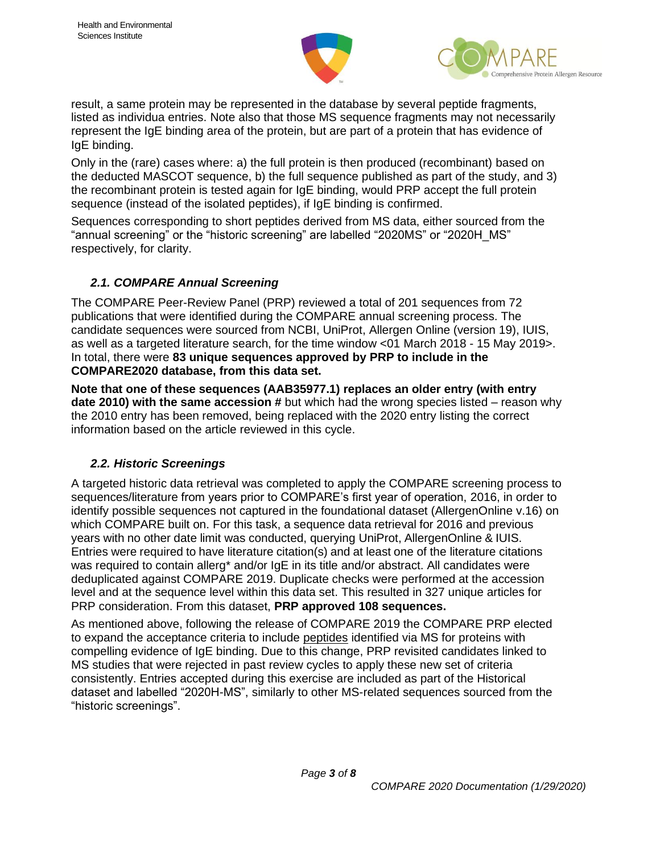



result, a same protein may be represented in the database by several peptide fragments, listed as individua entries. Note also that those MS sequence fragments may not necessarily represent the IgE binding area of the protein, but are part of a protein that has evidence of IgE binding.

Only in the (rare) cases where: a) the full protein is then produced (recombinant) based on the deducted MASCOT sequence, b) the full sequence published as part of the study, and 3) the recombinant protein is tested again for IgE binding, would PRP accept the full protein sequence (instead of the isolated peptides), if IgE binding is confirmed.

Sequences corresponding to short peptides derived from MS data, either sourced from the "annual screening" or the "historic screening" are labelled "2020MS" or "2020H\_MS" respectively, for clarity.

#### <span id="page-2-0"></span>*2.1. COMPARE Annual Screening*

The COMPARE Peer-Review Panel (PRP) reviewed a total of 201 sequences from 72 publications that were identified during the COMPARE annual screening process. The candidate sequences were sourced from NCBI, UniProt, Allergen Online (version 19), IUIS, as well as a targeted literature search, for the time window <01 March 2018 - 15 May 2019>. In total, there were **83 unique sequences approved by PRP to include in the COMPARE2020 database, from this data set.**

**Note that one of these sequences (AAB35977.1) replaces an older entry (with entry date 2010) with the same accession #** but which had the wrong species listed – reason why the 2010 entry has been removed, being replaced with the 2020 entry listing the correct information based on the article reviewed in this cycle.

#### <span id="page-2-1"></span>*2.2. Historic Screenings*

A targeted historic data retrieval was completed to apply the COMPARE screening process to sequences/literature from years prior to COMPARE's first year of operation, 2016, in order to identify possible sequences not captured in the foundational dataset (AllergenOnline v.16) on which COMPARE built on. For this task, a sequence data retrieval for 2016 and previous years with no other date limit was conducted, querying UniProt, AllergenOnline & IUIS. Entries were required to have literature citation(s) and at least one of the literature citations was required to contain allerg<sup>\*</sup> and/or IgE in its title and/or abstract. All candidates were deduplicated against COMPARE 2019. Duplicate checks were performed at the accession level and at the sequence level within this data set. This resulted in 327 unique articles for PRP consideration. From this dataset, **PRP approved 108 sequences.**

As mentioned above, following the release of COMPARE 2019 the COMPARE PRP elected to expand the acceptance criteria to include peptides identified via MS for proteins with compelling evidence of IgE binding. Due to this change, PRP revisited candidates linked to MS studies that were rejected in past review cycles to apply these new set of criteria consistently. Entries accepted during this exercise are included as part of the Historical dataset and labelled "2020H-MS", similarly to other MS-related sequences sourced from the "historic screenings".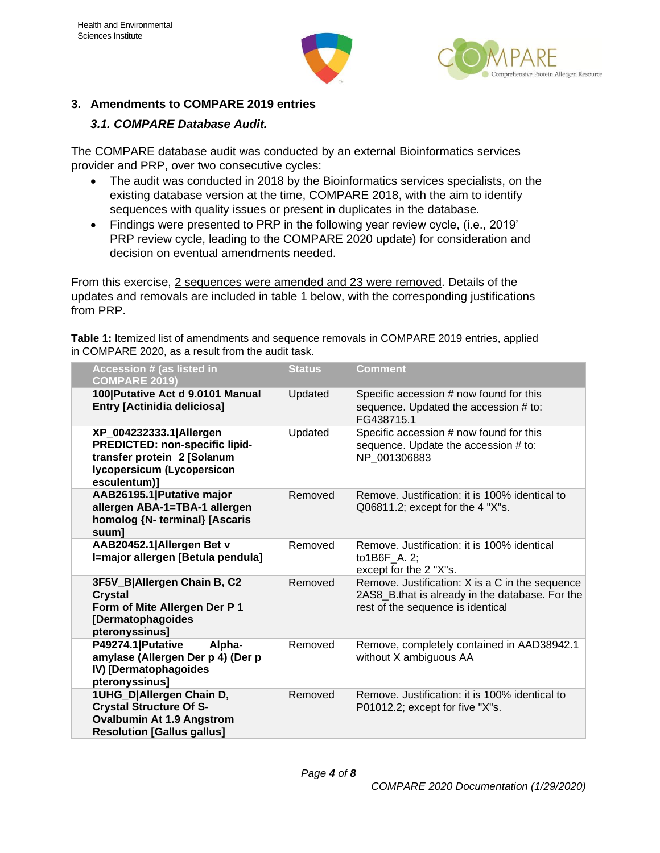



#### <span id="page-3-0"></span>**3. Amendments to COMPARE 2019 entries**

## <span id="page-3-1"></span>*3.1. COMPARE Database Audit.*

The COMPARE database audit was conducted by an external Bioinformatics services provider and PRP, over two consecutive cycles:

- The audit was conducted in 2018 by the Bioinformatics services specialists, on the existing database version at the time, COMPARE 2018, with the aim to identify sequences with quality issues or present in duplicates in the database.
- Findings were presented to PRP in the following year review cycle, (i.e., 2019' PRP review cycle, leading to the COMPARE 2020 update) for consideration and decision on eventual amendments needed.

From this exercise, 2 sequences were amended and 23 were removed. Details of the updates and removals are included in table 1 below, with the corresponding justifications from PRP.

**Table 1:** Itemized list of amendments and sequence removals in COMPARE 2019 entries, applied in COMPARE 2020, as a result from the audit task.

| <b>Accession # (as listed in</b><br><b>COMPARE 2019)</b>                                                                               | <b>Status</b> | <b>Comment</b>                                                                                                                          |
|----------------------------------------------------------------------------------------------------------------------------------------|---------------|-----------------------------------------------------------------------------------------------------------------------------------------|
| 100 Putative Act d 9.0101 Manual<br><b>Entry [Actinidia deliciosa]</b>                                                                 | Updated       | Specific accession # now found for this<br>sequence. Updated the accession # to:<br>FG438715.1                                          |
| XP_004232333.1 Allergen<br>PREDICTED: non-specific lipid-<br>transfer protein 2 [Solanum<br>Iycopersicum (Lycopersicon<br>esculentum)] | Updated       | Specific accession # now found for this<br>sequence. Update the accession # to:<br>NP_001306883                                         |
| AAB26195.1 Putative major<br>allergen ABA-1=TBA-1 allergen<br>homolog {N- terminal} [Ascaris<br>suum]                                  | Removed       | Remove, Justification: it is 100% identical to<br>$Q06811.2$ ; except for the 4 "X"s.                                                   |
| AAB20452.1 Allergen Bet v<br>I=major allergen [Betula pendula]                                                                         | Removed       | Remove, Justification: it is 100% identical<br>to1B6F A. 2;<br>except for the 2 "X"s.                                                   |
| 3F5V_B Allergen Chain B, C2<br><b>Crystal</b><br>Form of Mite Allergen Der P 1<br>[Dermatophagoides<br>pteronyssinus]                  | Removed       | Remove. Justification: X is a C in the sequence<br>2AS8_B.that is already in the database. For the<br>rest of the sequence is identical |
| P49274.1   Putative<br>Alpha-<br>amylase (Allergen Der p 4) (Der p<br>IV) [Dermatophagoides<br>pteronyssinus]                          | Removed       | Remove, completely contained in AAD38942.1<br>without X ambiguous AA                                                                    |
| 1UHG_D Allergen Chain D,<br><b>Crystal Structure Of S-</b><br><b>Ovalbumin At 1.9 Angstrom</b><br><b>Resolution [Gallus gallus]</b>    | Removed       | Remove, Justification: it is 100% identical to<br>P01012.2; except for five "X"s.                                                       |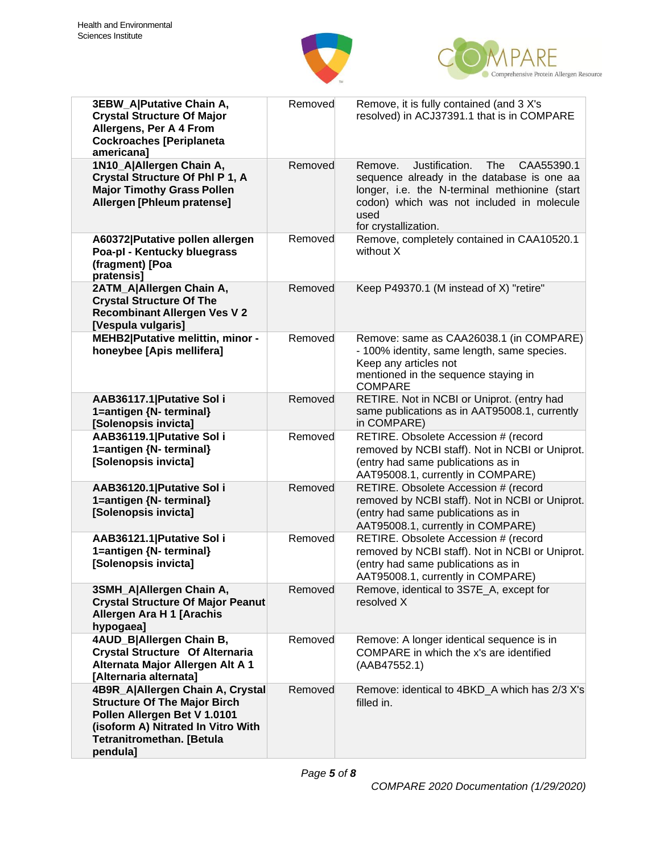



| 3EBW_A Putative Chain A,<br><b>Crystal Structure Of Major</b><br>Allergens, Per A 4 From<br><b>Cockroaches [Periplaneta</b><br>americana]                                                     | Removed | Remove, it is fully contained (and 3 X's<br>resolved) in ACJ37391.1 that is in COMPARE                                                                                                                                            |
|-----------------------------------------------------------------------------------------------------------------------------------------------------------------------------------------------|---------|-----------------------------------------------------------------------------------------------------------------------------------------------------------------------------------------------------------------------------------|
| 1N10_A Allergen Chain A,<br>Crystal Structure Of PhI P 1, A<br><b>Major Timothy Grass Pollen</b><br>Allergen [Phleum pratense]                                                                | Removed | Justification.<br>Remove.<br><b>The</b><br>CAA55390.1<br>sequence already in the database is one aa<br>longer, i.e. the N-terminal methionine (start<br>codon) which was not included in molecule<br>used<br>for crystallization. |
| A60372 Putative pollen allergen<br>Poa-pl - Kentucky bluegrass<br>(fragment) [Poa<br>pratensis]                                                                                               | Removed | Remove, completely contained in CAA10520.1<br>without X                                                                                                                                                                           |
| 2ATM_A Allergen Chain A,<br><b>Crystal Structure Of The</b><br><b>Recombinant Allergen Ves V 2</b><br>[Vespula vulgaris]                                                                      | Removed | Keep P49370.1 (M instead of X) "retire"                                                                                                                                                                                           |
| <b>MEHB2 Putative melittin, minor -</b><br>honeybee [Apis mellifera]                                                                                                                          | Removed | Remove: same as CAA26038.1 (in COMPARE)<br>- 100% identity, same length, same species.<br>Keep any articles not<br>mentioned in the sequence staying in<br><b>COMPARE</b>                                                         |
| AAB36117.1 Putative Sol i<br>1=antigen {N- terminal}<br>[Solenopsis invicta]                                                                                                                  | Removed | RETIRE. Not in NCBI or Uniprot. (entry had<br>same publications as in AAT95008.1, currently<br>in COMPARE)                                                                                                                        |
| AAB36119.1 Putative Sol i<br>1=antigen {N- terminal}<br>[Solenopsis invicta]                                                                                                                  | Removed | RETIRE. Obsolete Accession # (record<br>removed by NCBI staff). Not in NCBI or Uniprot.<br>(entry had same publications as in<br>AAT95008.1, currently in COMPARE)                                                                |
| AAB36120.1 Putative Sol i<br>1=antigen {N- terminal}<br>[Solenopsis invicta]                                                                                                                  | Removed | RETIRE. Obsolete Accession # (record<br>removed by NCBI staff). Not in NCBI or Uniprot.<br>(entry had same publications as in<br>AAT95008.1, currently in COMPARE)                                                                |
| AAB36121.1 Putative Sol i<br>1=antigen {N- terminal}<br>[Solenopsis invicta]                                                                                                                  | Removed | RETIRE. Obsolete Accession # (record<br>removed by NCBI staff). Not in NCBI or Uniprot.<br>(entry had same publications as in<br>AAT95008.1, currently in COMPARE)                                                                |
| 3SMH A Allergen Chain A,<br><b>Crystal Structure Of Major Peanut</b><br>Allergen Ara H 1 [Arachis<br>hypogaea]                                                                                | Removed | Remove, identical to 3S7E_A, except for<br>resolved X                                                                                                                                                                             |
| 4AUD_B Allergen Chain B,<br><b>Crystal Structure Of Alternaria</b><br>Alternata Major Allergen Alt A 1<br>[Alternaria alternata]                                                              | Removed | Remove: A longer identical sequence is in<br>COMPARE in which the x's are identified<br>(AAB47552.1)                                                                                                                              |
| 4B9R_A Allergen Chain A, Crystal<br><b>Structure Of The Major Birch</b><br>Pollen Allergen Bet V 1.0101<br>(isoform A) Nitrated In Vitro With<br><b>Tetranitromethan. [Betula</b><br>pendula] | Removed | Remove: identical to 4BKD A which has 2/3 X's<br>filled in.                                                                                                                                                                       |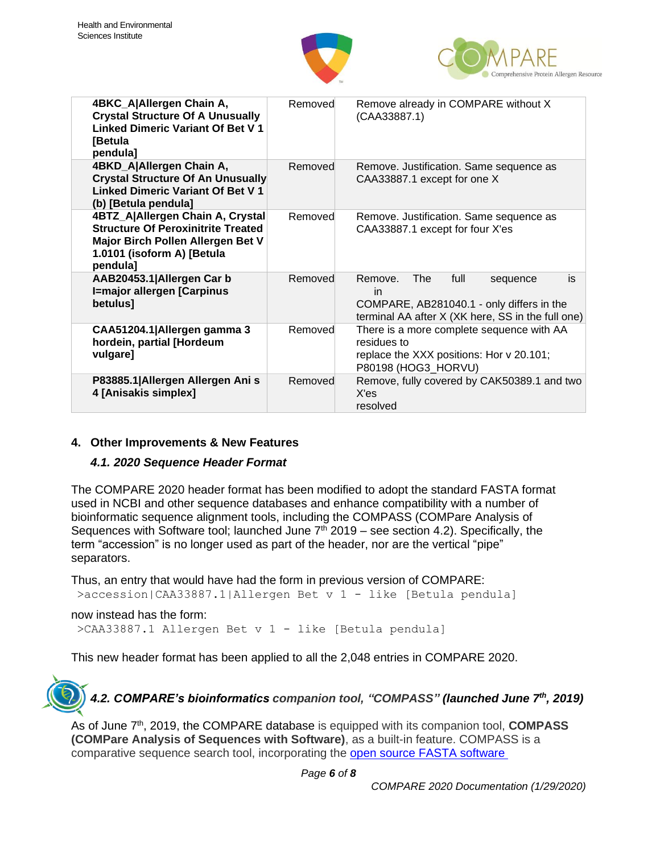



| 4BKC_A Allergen Chain A,<br><b>Crystal Structure Of A Unusually</b><br><b>Linked Dimeric Variant Of Bet V1</b><br><b>I</b> Betula<br>pendula]                | Removed | Remove already in COMPARE without X<br>(CAA33887.1)                                                                                                     |
|--------------------------------------------------------------------------------------------------------------------------------------------------------------|---------|---------------------------------------------------------------------------------------------------------------------------------------------------------|
| 4BKD_A Allergen Chain A,<br><b>Crystal Structure Of An Unusually</b><br><b>Linked Dimeric Variant Of Bet V1</b><br>(b) [Betula pendula]                      | Removed | Remove. Justification. Same sequence as<br>CAA33887.1 except for one X                                                                                  |
| 4BTZ_A Allergen Chain A, Crystal<br><b>Structure Of Peroxinitrite Treated</b><br>Major Birch Pollen Allergen Bet V<br>1.0101 (isoform A) [Betula<br>pendula] | Removed | Remove. Justification. Same sequence as<br>CAA33887.1 except for four X'es                                                                              |
| AAB20453.1 Allergen Car b<br>I=major allergen [Carpinus<br>betulus]                                                                                          | Removed | Remove.<br>The<br>full<br>is<br>sequence<br><i>in</i><br>COMPARE, AB281040.1 - only differs in the<br>terminal AA after X (XK here, SS in the full one) |
| CAA51204.1   Allergen gamma 3<br>hordein, partial [Hordeum<br>vulgare]                                                                                       | Removed | There is a more complete sequence with AA<br>residues to<br>replace the XXX positions: Hor v 20.101;<br>P80198 (HOG3_HORVU)                             |
| P83885.1 Allergen Allergen Ani s<br>4 [Anisakis simplex]                                                                                                     | Removed | Remove, fully covered by CAK50389.1 and two<br>X'es<br>resolved                                                                                         |

#### <span id="page-5-0"></span>**4. Other Improvements & New Features**

#### <span id="page-5-1"></span>*4.1. 2020 Sequence Header Format*

The COMPARE 2020 header format has been modified to adopt the standard FASTA format used in NCBI and other sequence databases and enhance compatibility with a number of bioinformatic sequence alignment tools, including the COMPASS (COMPare Analysis of Sequences with Software tool; launched June  $7<sup>th</sup>$  2019 – see section 4.2). Specifically, the term "accession" is no longer used as part of the header, nor are the vertical "pipe" separators.

Thus, an entry that would have had the form in previous version of COMPARE:

>accession|CAA33887.1|Allergen Bet v 1 - like [Betula pendula]

#### now instead has the form:

>CAA33887.1 Allergen Bet v 1 - like [Betula pendula]

This new header format has been applied to all the 2,048 entries in COMPARE 2020.

<span id="page-5-2"></span>*4.2. COMPARE's bioinformatics companion tool, "COMPASS" (launched June 7th, 2019)*

As of June 7<sup>th</sup>, 2019, the COMPARE database is equipped with its companion tool, **COMPASS (COMPare Analysis of Sequences with Software)**, as a built-in feature. COMPASS is a comparative sequence search tool, incorporating the open source FASTA [software](https://fasta.bioch.virginia.edu/fasta_www2/fasta_intro.shtml)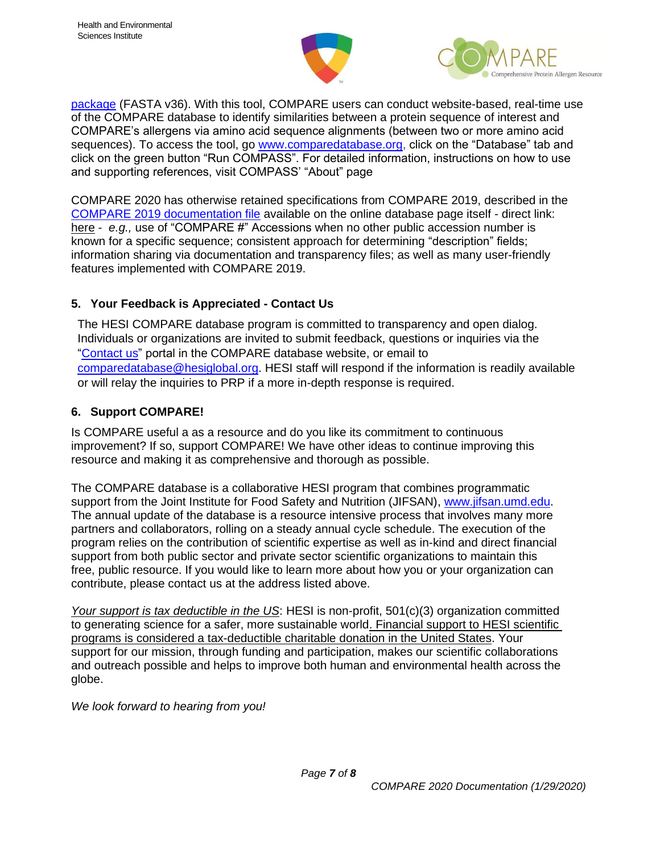



[package](https://fasta.bioch.virginia.edu/fasta_www2/fasta_intro.shtml) (FASTA v36). With this tool, COMPARE users can conduct website-based, real-time use of the COMPARE database to identify similarities between a protein sequence of interest and COMPARE's allergens via amino acid sequence alignments (between two or more amino acid sequences). To access the tool, go [www.comparedatabase.org,](http://www.comparedatabase.org/) click on the "Database" tab and click on the green button "Run COMPASS". For detailed information, instructions on how to use and supporting references, visit COMPASS' "About" page

COMPARE 2020 has otherwise retained specifications from COMPARE 2019, described in the [COMPARE 2019 documentation file](http://db.comparedatabase.org/docs/COMPARE-2019-Documentation-2019-01-17.pdf) available on the online database page itself - direct link: [here](http://db.comparedatabase.org/docs/COMPARE-2019-Documentation-2019-01-17.pdf?v=20190117) - *e.g.,* use of "COMPARE #" Accessions when no other public accession number is known for a specific sequence; consistent approach for determining "description" fields; information sharing via documentation and transparency files; as well as many user-friendly features implemented with COMPARE 2019.

#### <span id="page-6-0"></span>**5. Your Feedback is Appreciated - Contact Us**

The HESI COMPARE database program is committed to transparency and open dialog. Individuals or organizations are invited to submit feedback, questions or inquiries via the ["Contact us"](http://comparedatabase.org/contact-us/) portal in the COMPARE database website, or email to [comparedatabase@hesiglobal.org.](mailto:comparedatabase@hesiglobal.org) HESI staff will respond if the information is readily available or will relay the inquiries to PRP if a more in-depth response is required.

#### <span id="page-6-1"></span>**6. Support COMPARE!**

Is COMPARE useful a as a resource and do you like its commitment to continuous improvement? If so, support COMPARE! We have other ideas to continue improving this resource and making it as comprehensive and thorough as possible.

The COMPARE database is a collaborative HESI program that combines programmatic support from the Joint Institute for Food Safety and Nutrition (JIFSAN), [www.jifsan.umd.edu.](http://www.jifsan.umd.edu/) The annual update of the database is a resource intensive process that involves many more partners and collaborators, rolling on a steady annual cycle schedule. The execution of the program relies on the contribution of scientific expertise as well as in-kind and direct financial support from both public sector and private sector scientific organizations to maintain this free, public resource. If you would like to learn more about how you or your organization can contribute, please contact us at the address listed above.

*Your support is tax deductible in the US*: HESI is non-profit, 501(c)(3) organization committed to generating science for a safer, more sustainable world. Financial support to HESI scientific programs is considered a tax-deductible charitable donation in the United States. Your support for our mission, through funding and participation, makes our scientific collaborations and outreach possible and helps to improve both human and environmental health across the globe.

*We look forward to hearing from you!*